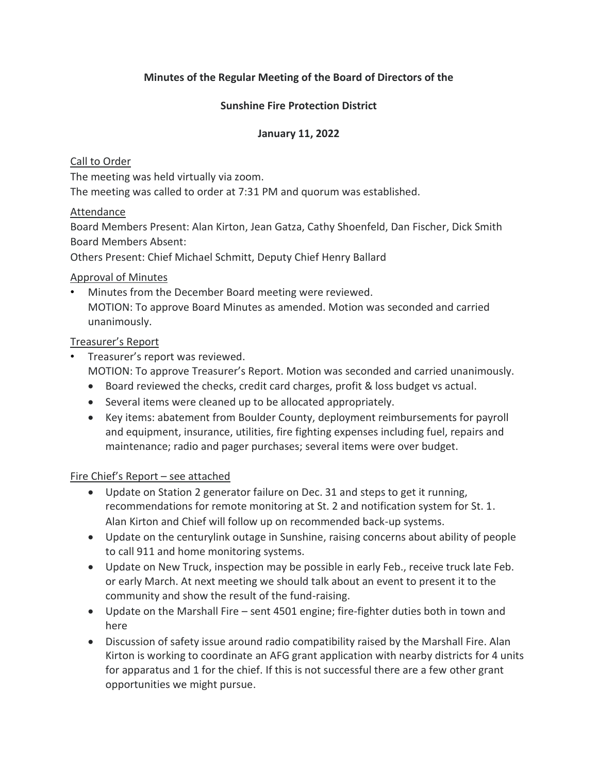## **Minutes of the Regular Meeting of the Board of Directors of the**

## **Sunshine Fire Protection District**

## **January 11, 2022**

## Call to Order

The meeting was held virtually via zoom.

The meeting was called to order at 7:31 PM and quorum was established.

## Attendance

Board Members Present: Alan Kirton, Jean Gatza, Cathy Shoenfeld, Dan Fischer, Dick Smith Board Members Absent:

Others Present: Chief Michael Schmitt, Deputy Chief Henry Ballard

## Approval of Minutes

• Minutes from the December Board meeting were reviewed. MOTION: To approve Board Minutes as amended. Motion was seconded and carried unanimously.

## Treasurer's Report

- Treasurer's report was reviewed. MOTION: To approve Treasurer's Report. Motion was seconded and carried unanimously.
	- Board reviewed the checks, credit card charges, profit & loss budget vs actual.
	- Several items were cleaned up to be allocated appropriately.
	- Key items: abatement from Boulder County, deployment reimbursements for payroll and equipment, insurance, utilities, fire fighting expenses including fuel, repairs and maintenance; radio and pager purchases; several items were over budget.

## Fire Chief's Report – see attached

- Update on Station 2 generator failure on Dec. 31 and steps to get it running, recommendations for remote monitoring at St. 2 and notification system for St. 1. Alan Kirton and Chief will follow up on recommended back-up systems.
- Update on the centurylink outage in Sunshine, raising concerns about ability of people to call 911 and home monitoring systems.
- Update on New Truck, inspection may be possible in early Feb., receive truck late Feb. or early March. At next meeting we should talk about an event to present it to the community and show the result of the fund-raising.
- Update on the Marshall Fire sent 4501 engine; fire-fighter duties both in town and here
- Discussion of safety issue around radio compatibility raised by the Marshall Fire. Alan Kirton is working to coordinate an AFG grant application with nearby districts for 4 units for apparatus and 1 for the chief. If this is not successful there are a few other grant opportunities we might pursue.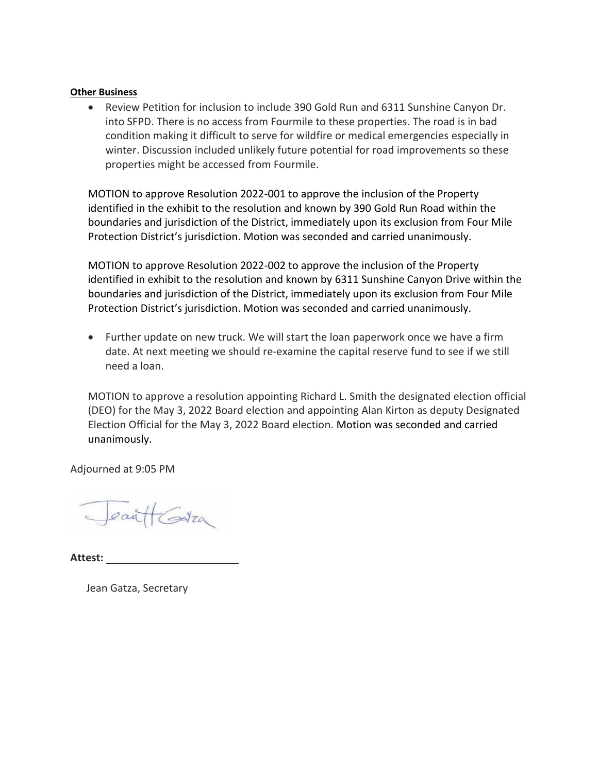#### **Other Business**

• Review Petition for inclusion to include 390 Gold Run and 6311 Sunshine Canyon Dr. into SFPD. There is no access from Fourmile to these properties. The road is in bad condition making it difficult to serve for wildfire or medical emergencies especially in winter. Discussion included unlikely future potential for road improvements so these properties might be accessed from Fourmile.

MOTION to approve Resolution 2022-001 to approve the inclusion of the Property identified in the exhibit to the resolution and known by 390 Gold Run Road within the boundaries and jurisdiction of the District, immediately upon its exclusion from Four Mile Protection District's jurisdiction. Motion was seconded and carried unanimously.

MOTION to approve Resolution 2022-002 to approve the inclusion of the Property identified in exhibit to the resolution and known by 6311 Sunshine Canyon Drive within the boundaries and jurisdiction of the District, immediately upon its exclusion from Four Mile Protection District's jurisdiction. Motion was seconded and carried unanimously.

• Further update on new truck. We will start the loan paperwork once we have a firm date. At next meeting we should re-examine the capital reserve fund to see if we still need a loan.

MOTION to approve a resolution appointing Richard L. Smith the designated election official (DEO) for the May 3, 2022 Board election and appointing Alan Kirton as deputy Designated Election Official for the May 3, 2022 Board election. Motion was seconded and carried unanimously.

Adjourned at 9:05 PM

Jean HGatza

**Attest:** 

Jean Gatza, Secretary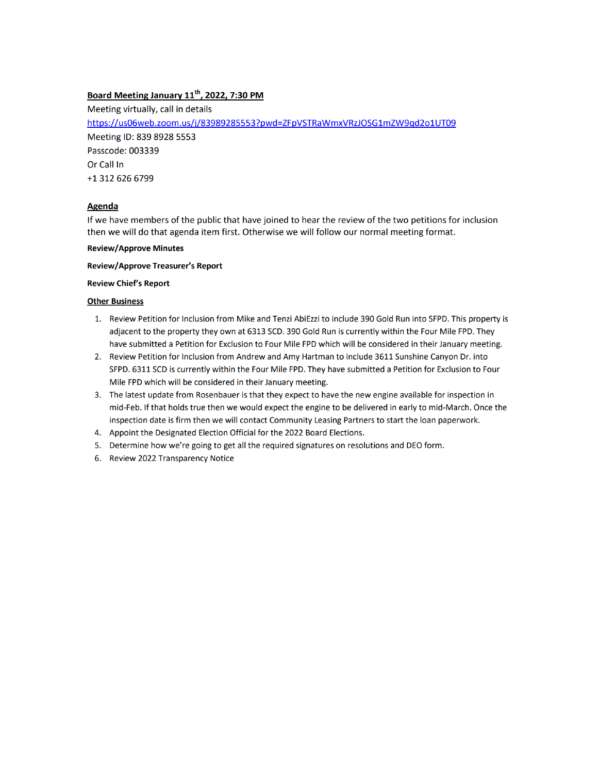## Board Meeting January 11<sup>th</sup>, 2022, 7:30 PM

Meeting virtually, call in details https://us06web.zoom.us/j/83989285553?pwd=ZFpVSTRaWmxVRzJOSG1mZW9qd2o1UT09 Meeting ID: 839 8928 5553 Passcode: 003339 Or Call In +1 312 626 6799

#### Agenda

If we have members of the public that have joined to hear the review of the two petitions for inclusion then we will do that agenda item first. Otherwise we will follow our normal meeting format.

#### **Review/Approve Minutes**

#### **Review/Approve Treasurer's Report**

#### **Review Chief's Report**

#### **Other Business**

- 1. Review Petition for Inclusion from Mike and Tenzi AbiEzzi to include 390 Gold Run into SFPD. This property is adjacent to the property they own at 6313 SCD. 390 Gold Run is currently within the Four Mile FPD. They have submitted a Petition for Exclusion to Four Mile FPD which will be considered in their January meeting.
- 2. Review Petition for Inclusion from Andrew and Amy Hartman to include 3611 Sunshine Canyon Dr. into SFPD. 6311 SCD is currently within the Four Mile FPD. They have submitted a Petition for Exclusion to Four Mile FPD which will be considered in their January meeting.
- 3. The latest update from Rosenbauer is that they expect to have the new engine available for inspection in mid-Feb. If that holds true then we would expect the engine to be delivered in early to mid-March. Once the inspection date is firm then we will contact Community Leasing Partners to start the loan paperwork.
- 4. Appoint the Designated Election Official for the 2022 Board Elections.
- 5. Determine how we're going to get all the required signatures on resolutions and DEO form.
- 6. Review 2022 Transparency Notice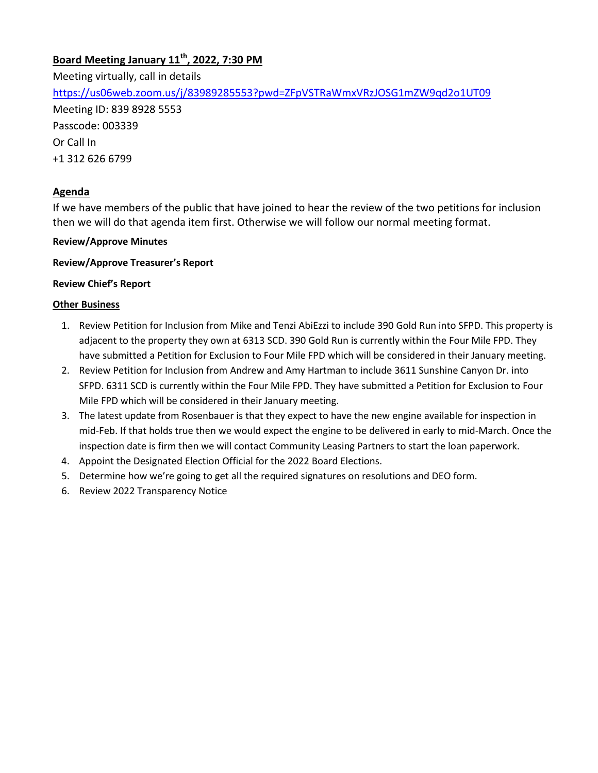## **Board Meeting January 11th, 2022, 7:30 PM**

Meeting virtually, call in details <https://us06web.zoom.us/j/83989285553?pwd=ZFpVSTRaWmxVRzJOSG1mZW9qd2o1UT09> Meeting ID: 839 8928 5553 Passcode: 003339 Or Call In +1 312 626 6799

## **Agenda**

If we have members of the public that have joined to hear the review of the two petitions for inclusion then we will do that agenda item first. Otherwise we will follow our normal meeting format.

### **Review/Approve Minutes**

### **Review/Approve Treasurer's Report**

#### **Review Chief's Report**

### **Other Business**

- 1. Review Petition for Inclusion from Mike and Tenzi AbiEzzi to include 390 Gold Run into SFPD. This property is adjacent to the property they own at 6313 SCD. 390 Gold Run is currently within the Four Mile FPD. They have submitted a Petition for Exclusion to Four Mile FPD which will be considered in their January meeting.
- 2. Review Petition for Inclusion from Andrew and Amy Hartman to include 3611 Sunshine Canyon Dr. into SFPD. 6311 SCD is currently within the Four Mile FPD. They have submitted a Petition for Exclusion to Four Mile FPD which will be considered in their January meeting.
- 3. The latest update from Rosenbauer is that they expect to have the new engine available for inspection in mid-Feb. If that holds true then we would expect the engine to be delivered in early to mid-March. Once the inspection date is firm then we will contact Community Leasing Partners to start the loan paperwork.
- 4. Appoint the Designated Election Official for the 2022 Board Elections.
- 5. Determine how we're going to get all the required signatures on resolutions and DEO form.
- 6. Review 2022 Transparency Notice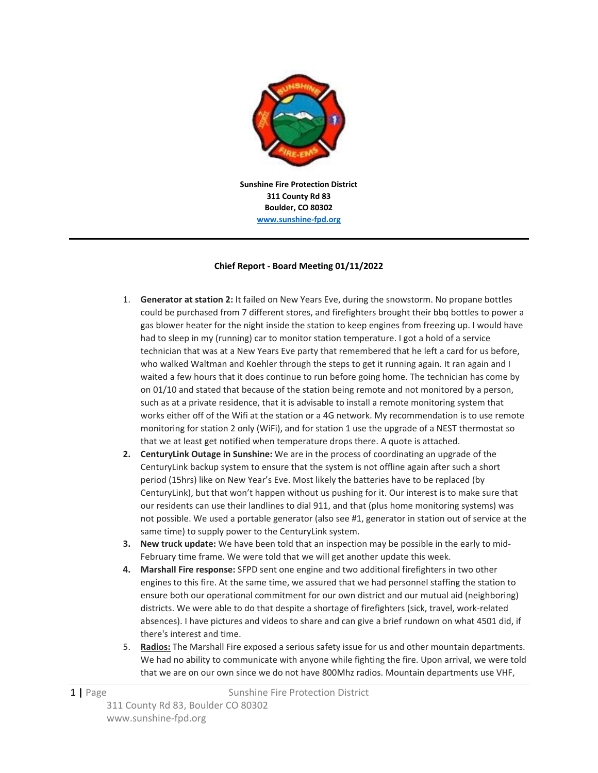

**311 County Rd 83 Boulder, CO 80302 www.sunshine‐fpd.org**

#### **Chief Report ‐ Board Meeting 01/11/2022**

- 1. **Generator at station 2:** It failed on New Years Eve, during the snowstorm. No propane bottles could be purchased from 7 different stores, and firefighters brought their bbq bottles to power a gas blower heater for the night inside the station to keep engines from freezing up. I would have had to sleep in my (running) car to monitor station temperature. I got a hold of a service technician that was at a New Years Eve party that remembered that he left a card for us before, who walked Waltman and Koehler through the steps to get it running again. It ran again and I waited a few hours that it does continue to run before going home. The technician has come by on 01/10 and stated that because of the station being remote and not monitored by a person, such as at a private residence, that it is advisable to install a remote monitoring system that works either off of the Wifi at the station or a 4G network. My recommendation is to use remote monitoring for station 2 only (WiFi), and for station 1 use the upgrade of a NEST thermostat so that we at least get notified when temperature drops there. A quote is attached.
- **2. CenturyLink Outage in Sunshine:** We are in the process of coordinating an upgrade of the CenturyLink backup system to ensure that the system is not offline again after such a short period (15hrs) like on New Year's Eve. Most likely the batteries have to be replaced (by CenturyLink), but that won't happen without us pushing for it. Our interest is to make sure that our residents can use their landlines to dial 911, and that (plus home monitoring systems) was not possible. We used a portable generator (also see #1, generator in station out of service at the same time) to supply power to the CenturyLink system.
- **3. New truck update:** We have been told that an inspection may be possible in the early to mid‐ February time frame. We were told that we will get another update this week.
- **4. Marshall Fire response:** SFPD sent one engine and two additional firefighters in two other engines to this fire. At the same time, we assured that we had personnel staffing the station to ensure both our operational commitment for our own district and our mutual aid (neighboring) districts. We were able to do that despite a shortage of firefighters (sick, travel, work‐related absences). I have pictures and videos to share and can give a brief rundown on what 4501 did, if there's interest and time.
- 5. **Radios:** The Marshall Fire exposed a serious safety issue for us and other mountain departments. We had no ability to communicate with anyone while fighting the fire. Upon arrival, we were told that we are on our own since we do not have 800Mhz radios. Mountain departments use VHF,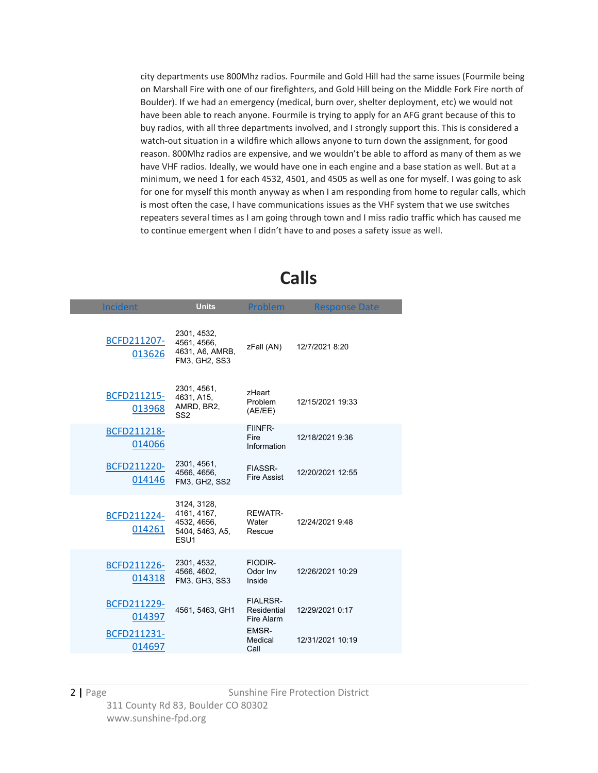city departments use 800Mhz radios. Fourmile and Gold Hill had the same issues (Fourmile being on Marshall Fire with one of our firefighters, and Gold Hill being on the Middle Fork Fire north of Boulder). If we had an emergency (medical, burn over, shelter deployment, etc) we would not have been able to reach anyone. Fourmile is trying to apply for an AFG grant because of this to buy radios, with all three departments involved, and I strongly support this. This is considered a watch-out situation in a wildfire which allows anyone to turn down the assignment, for good reason. 800Mhz radios are expensive, and we wouldn't be able to afford as many of them as we have VHF radios. Ideally, we would have one in each engine and a base station as well. But at a minimum, we need 1 for each 4532, 4501, and 4505 as well as one for myself. I was going to ask for one for myself this month anyway as when I am responding from home to regular calls, which is most often the case, I have communications issues as the VHF system that we use switches repeaters several times as I am going through town and I miss radio traffic which has caused me to continue emergent when I didn't have to and poses a safety issue as well.

| <b>Incident</b>       | <b>Units</b>                                                                     | Problem                                      | <b>Response Date</b> |
|-----------------------|----------------------------------------------------------------------------------|----------------------------------------------|----------------------|
| BCFD211207-<br>013626 | 2301, 4532,<br>4561, 4566,<br>4631, A6, AMRB,<br>FM3, GH2, SS3                   | zFall (AN)                                   | 12/7/2021 8:20       |
| BCFD211215-<br>013968 | 2301, 4561,<br>4631, A15,<br>AMRD, BR2,<br>SS <sub>2</sub>                       | zHeart<br>Problem<br>(AE/EE)                 | 12/15/2021 19:33     |
| BCFD211218-<br>014066 |                                                                                  | FIINFR-<br>Fire<br>Information               | 12/18/2021 9:36      |
| BCFD211220-<br>014146 | 2301, 4561,<br>4566, 4656,<br>FM3, GH2, SS2                                      | <b>FIASSR-</b><br><b>Fire Assist</b>         | 12/20/2021 12:55     |
| BCFD211224-<br>014261 | 3124, 3128,<br>4161, 4167,<br>4532, 4656,<br>5404, 5463, A5,<br>ESU <sub>1</sub> | <b>REWATR-</b><br>Water<br>Rescue            | 12/24/2021 9:48      |
| BCFD211226-<br>014318 | 2301, 4532,<br>4566, 4602,<br>FM3, GH3, SS3                                      | FIODIR-<br>Odor Inv<br>Inside                | 12/26/2021 10:29     |
| BCFD211229-<br>014397 | 4561, 5463, GH1                                                                  | <b>FIALRSR-</b><br>Residential<br>Fire Alarm | 12/29/2021 0:17      |
| BCFD211231-<br>014697 |                                                                                  | EMSR-<br>Medical<br>Call                     | 12/31/2021 10:19     |

## **Calls**

#### 2 | Page Sunshine Fire Protection District 311 County Rd 83, Boulder CO 80302 www.sunshine‐fpd.org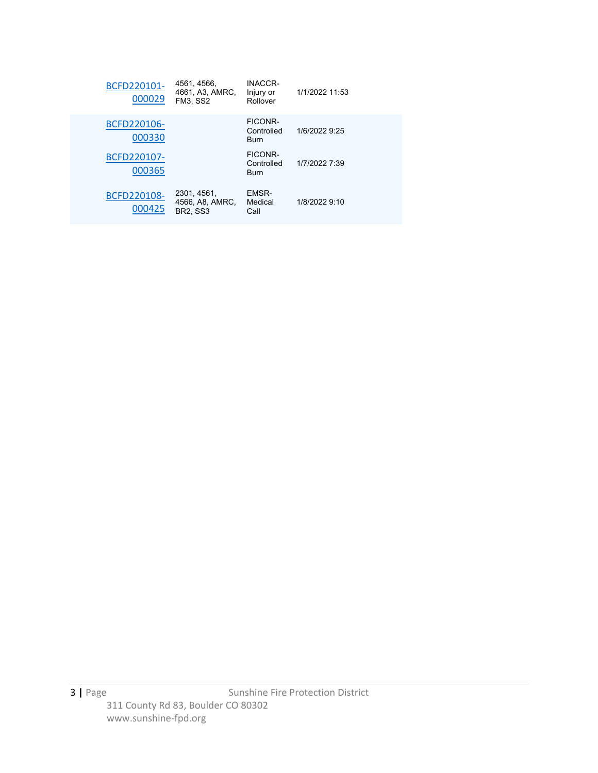| BCFD220101-<br>000029 | 4561, 4566,<br>4661, A3, AMRC.<br><b>FM3, SS2</b> | <b>INACCR-</b><br>Injury or<br>Rollover     | 1/1/2022 11:53 |
|-----------------------|---------------------------------------------------|---------------------------------------------|----------------|
| BCFD220106-<br>000330 |                                                   | FICONR-<br>Controlled<br><b>Burn</b>        | 1/6/2022 9:25  |
| BCFD220107-<br>000365 |                                                   | <b>FICONR-</b><br>Controlled<br><b>Burn</b> | 1/7/2022 7:39  |
| BCFD220108-<br>000425 | 2301, 4561,<br>4566, A8, AMRC,<br><b>BR2. SS3</b> | EMSR-<br>Medical<br>Call                    | 1/8/2022 9:10  |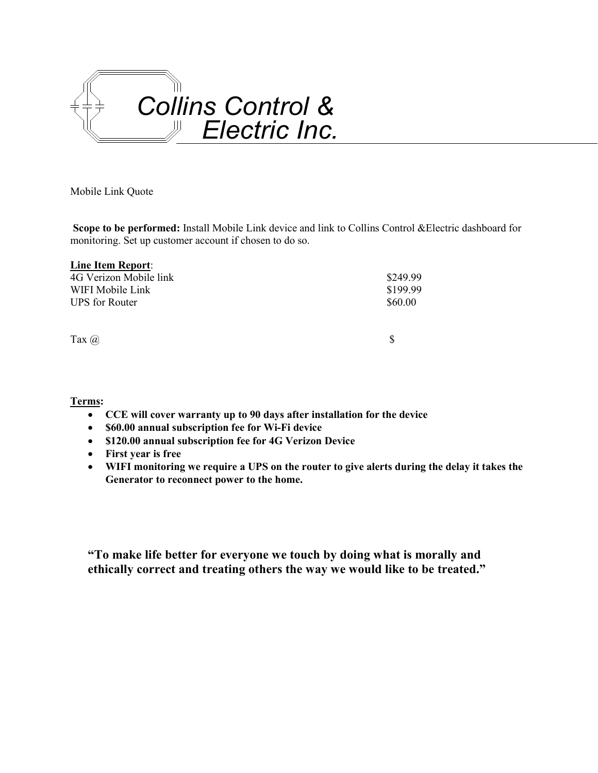

Mobile Link Quote

**Scope to be performed:** Install Mobile Link device and link to Collins Control &Electric dashboard for monitoring. Set up customer account if chosen to do so.

| \$249.99 |
|----------|
| \$199.99 |
| \$60.00  |
|          |
|          |
| \$       |
|          |

**Terms:**

- **CCE will cover warranty up to 90 days after installation for the device**
- **\$60.00 annual subscription fee for Wi-Fi device**
- **\$120.00 annual subscription fee for 4G Verizon Device**
- **First year is free**
- **WIFI monitoring we require a UPS on the router to give alerts during the delay it takes the Generator to reconnect power to the home.**

**"To make life better for everyone we touch by doing what is morally and ethically correct and treating others the way we would like to be treated."**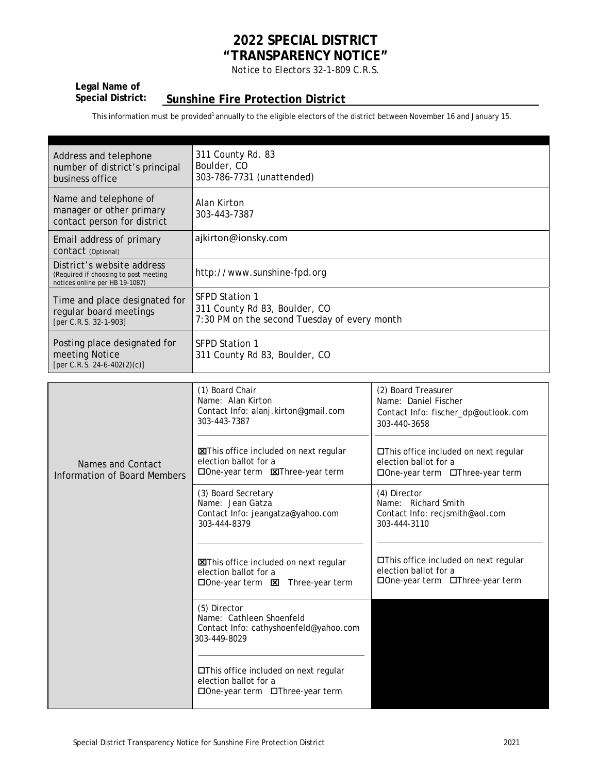## **2022 SPECIAL DISTRICT "TRANSPARENCY NOTICE"**

*Notice to Electors 32-1-809 C.R.S.*

# **Legal Name of**

## **Sunshine Fire Protection District**

This information must be provided<sup>1</sup> annually to the eligible electors of the district between November 16 and January 15.

| Address and telephone<br>number of district's principal<br>business office                            | 311 County Rd. 83<br>Boulder, CO<br>303-786-7731 (unattended)                                          |
|-------------------------------------------------------------------------------------------------------|--------------------------------------------------------------------------------------------------------|
| Name and telephone of<br>manager or other primary<br>contact person for district                      | Alan Kirton<br>303-443-7387                                                                            |
| Email address of primary<br>CONTACT (Optional)                                                        | ajkirton@ionsky.com                                                                                    |
| District's website address<br>(Required if choosing to post meeting<br>notices online per HB 19-1087) | http://www.sunshine-fpd.org                                                                            |
| Time and place designated for<br>regular board meetings<br>[per C.R.S. 32-1-903]                      | <b>SFPD Station 1</b><br>311 County Rd 83, Boulder, CO<br>7:30 PM on the second Tuesday of every month |
| Posting place designated for<br>meeting Notice<br>[per C.R.S. 24-6-402(2)(c)]                         | <b>SFPD Station 1</b><br>311 County Rd 83, Boulder, CO                                                 |

|                                                   | (1) Board Chair<br>Name: Alan Kirton<br>Contact Info: alanj.kirton@gmail.com<br>303-443-7387                           | (2) Board Treasurer<br>Name: Daniel Fischer<br>Contact Info: fischer_dp@outlook.com<br>303-440-3658     |
|---------------------------------------------------|------------------------------------------------------------------------------------------------------------------------|---------------------------------------------------------------------------------------------------------|
| Names and Contact<br>Information of Board Members | <b>X</b> This office included on next regular<br>election ballot for a<br>□ One-year term <b>EXIThree-year term</b>    | □This office included on next regular<br>election ballot for a<br>□One-year term □Three-year term       |
|                                                   | (3) Board Secretary<br>Name: Jean Gatza<br>Contact Info: jeangatza@yahoo.com<br>303-444-8379                           | (4) Director<br>Name: Richard Smith<br>Contact Info: recjsmith@aol.com<br>303-444-3110                  |
|                                                   | <b>XXIThis office included on next regular</b><br>election ballot for a<br>$\Box$ One-year term $\Box$ Three-year term | $\Box$ This office included on next regular<br>election ballot for a<br>□One-year term □Three-year term |
|                                                   | (5) Director<br>Name: Cathleen Shoenfeld<br>Contact Info: cathyshoenfeld@yahoo.com<br>303-449-8029                     |                                                                                                         |
|                                                   | □This office included on next regular<br>election ballot for a<br>$\Box$ One-year term $\Box$ Three-year term          |                                                                                                         |